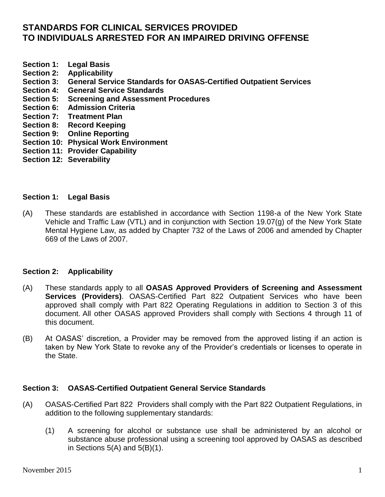# **STANDARDS FOR CLINICAL SERVICES PROVIDED TO INDIVIDUALS ARRESTED FOR AN IMPAIRED DRIVING OFFENSE**

- **Section [1: Legal Basis](http://www.oasas.state.ny.us/regs/822.cfm#legalbase#legalbase)**
- **Section 2: Applicability**
- **Section 3: General Service Standards for OASAS-Certified Outpatient Services**
- **[Section 4: General Service Standards](http://www.oasas.state.ny.us/regs/822.cfm#general#general)**
- **Section 5: Screening and Assessment Procedures**
- **Section 6: Admission Criteria**
- **[Section 7: T](http://www.oasas.state.ny.us/regs/822.cfm#record#record)reatment Plan**
- **Section 8: Record Keeping**
- **Section 9: Online Reporting**
- **Section 10: Physical Work Environment**
- **Section 11: Provider Capability**
- **Section 12: Severability**

#### **Section 1: Legal Basis**

(A) These standards are established in accordance with Section 1198-a of the New York State Vehicle and Traffic Law (VTL) and in conjunction with Section 19.07(g) of the New York State Mental Hygiene Law, as added by Chapter 732 of the Laws of 2006 and amended by Chapter 669 of the Laws of 2007.

# **Section 2: Applicability**

- (A) These standards apply to all **OASAS Approved Providers of Screening and Assessment Services (Providers)**. OASAS-Certified Part 822 Outpatient Services who have been approved shall comply with Part 822 Operating Regulations in addition to Section 3 of this document. All other OASAS approved Providers shall comply with Sections 4 through 11 of this document.
- (B) At OASAS' discretion, a Provider may be removed from the approved listing if an action is taken by New York State to revoke any of the Provider's credentials or licenses to operate in the State.

# **Section 3: OASAS-Certified Outpatient General Service Standards**

- (A) OASAS-Certified Part 822 Providers shall comply with the Part 822 Outpatient Regulations, in addition to the following supplementary standards:
	- (1) A screening for alcohol or substance use shall be administered by an alcohol or substance abuse professional using a screening tool approved by OASAS as described in Sections  $5(A)$  and  $5(B)(1)$ .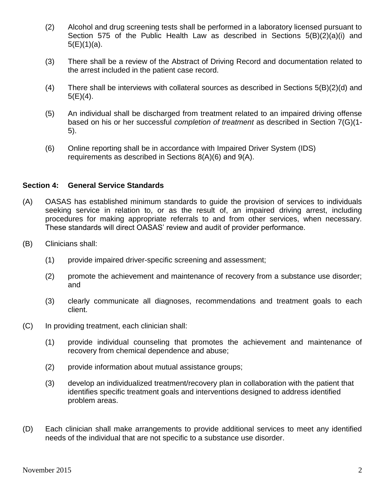- (2) Alcohol and drug screening tests shall be performed in a laboratory licensed pursuant to Section 575 of the Public Health Law as described in Sections 5(B)(2)(a)(i) and 5(E)(1)(a).
- (3) There shall be a review of the Abstract of Driving Record and documentation related to the arrest included in the patient case record.
- (4) There shall be interviews with collateral sources as described in Sections 5(B)(2)(d) and  $5(E)(4)$ .
- (5) An individual shall be discharged from treatment related to an impaired driving offense based on his or her successful *completion of treatment* as described in Section 7(G)(1- 5).
- (6) Online reporting shall be in accordance with Impaired Driver System (IDS) requirements as described in Sections 8(A)(6) and 9(A).

#### **Section 4: General Service Standards**

- (A) OASAS has established minimum standards to guide the provision of services to individuals seeking service in relation to, or as the result of, an impaired driving arrest, including procedures for making appropriate referrals to and from other services, when necessary. These standards will direct OASAS' review and audit of provider performance.
- (B) Clinicians shall:
	- (1) provide impaired driver-specific screening and assessment;
	- (2) promote the achievement and maintenance of recovery from a substance use disorder; and
	- (3) clearly communicate all diagnoses, recommendations and treatment goals to each client.
- (C) In providing treatment, each clinician shall:
	- (1) provide individual counseling that promotes the achievement and maintenance of recovery from chemical dependence and abuse;
	- (2) provide information about mutual assistance groups;
	- (3) develop an individualized treatment/recovery plan in collaboration with the patient that identifies specific treatment goals and interventions designed to address identified problem areas.
- (D) Each clinician shall make arrangements to provide additional services to meet any identified needs of the individual that are not specific to a substance use disorder.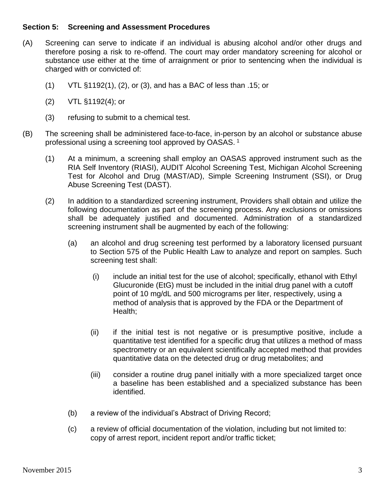# **Section 5: Screening and Assessment Procedures**

- (A) Screening can serve to indicate if an individual is abusing alcohol and/or other drugs and therefore posing a risk to re-offend. The court may order mandatory screening for alcohol or substance use either at the time of arraignment or prior to sentencing when the individual is charged with or convicted of:
	- (1) VTL §1192(1), (2), or (3), and has a BAC of less than .15; or
	- (2) VTL §1192(4); or
	- (3) refusing to submit to a chemical test.
- (B) The screening shall be administered face-to-face, in-person by an alcohol or substance abuse professional using a screening tool approved by OASAS. <sup>1</sup>
	- (1) At a minimum, a screening shall employ an OASAS approved instrument such as the RIA Self Inventory (RIASI), AUDIT Alcohol Screening Test, Michigan Alcohol Screening Test for Alcohol and Drug (MAST/AD), Simple Screening Instrument (SSI), or Drug Abuse Screening Test (DAST).
	- (2) In addition to a standardized screening instrument, Providers shall obtain and utilize the following documentation as part of the screening process. Any exclusions or omissions shall be adequately justified and documented. Administration of a standardized screening instrument shall be augmented by each of the following:
		- (a) an alcohol and drug screening test performed by a laboratory licensed pursuant to Section 575 of the Public Health Law to analyze and report on samples. Such screening test shall:
			- (i) include an initial test for the use of alcohol; specifically, ethanol with Ethyl Glucuronide (EtG) must be included in the initial drug panel with a cutoff point of 10 mg/dL and 500 micrograms per liter, respectively, using a method of analysis that is approved by the FDA or the Department of Health;
			- (ii) if the initial test is not negative or is presumptive positive, include a quantitative test identified for a specific drug that utilizes a method of mass spectrometry or an equivalent scientifically accepted method that provides quantitative data on the detected drug or drug metabolites; and
			- (iii) consider a routine drug panel initially with a more specialized target once a baseline has been established and a specialized substance has been identified.
		- (b) a review of the individual's Abstract of Driving Record;
		- (c) a review of official documentation of the violation, including but not limited to: copy of arrest report, incident report and/or traffic ticket;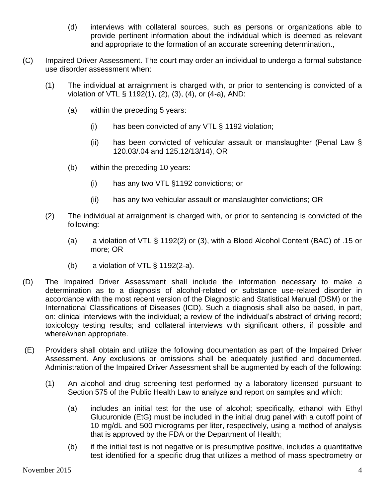- (d) interviews with collateral sources, such as persons or organizations able to provide pertinent information about the individual which is deemed as relevant and appropriate to the formation of an accurate screening determination.,
- (C) Impaired Driver Assessment. The court may order an individual to undergo a formal substance use disorder assessment when:
	- (1) The individual at arraignment is charged with, or prior to sentencing is convicted of a violation of VTL § 1192(1), (2), (3), (4), or (4-a), AND:
		- (a) within the preceding 5 years:
			- (i) has been convicted of any VTL § 1192 violation;
			- (ii) has been convicted of vehicular assault or manslaughter (Penal Law § 120.03/.04 and 125.12/13/14), OR
		- (b) within the preceding 10 years:
			- (i) has any two VTL §1192 convictions; or
			- (ii) has any two vehicular assault or manslaughter convictions; OR
	- (2) The individual at arraignment is charged with, or prior to sentencing is convicted of the following:
		- (a) a violation of VTL § 1192(2) or (3), with a Blood Alcohol Content (BAC) of .15 or more; OR
		- (b) a violation of VTL § 1192(2-a).
- (D) The Impaired Driver Assessment shall include the information necessary to make a determination as to a diagnosis of alcohol-related or substance use-related disorder in accordance with the most recent version of the Diagnostic and Statistical Manual (DSM) or the International Classifications of Diseases (ICD). Such a diagnosis shall also be based, in part, on: clinical interviews with the individual; a review of the individual's abstract of driving record; toxicology testing results; and collateral interviews with significant others, if possible and where/when appropriate.
- (E) Providers shall obtain and utilize the following documentation as part of the Impaired Driver Assessment. Any exclusions or omissions shall be adequately justified and documented. Administration of the Impaired Driver Assessment shall be augmented by each of the following:
	- (1) An alcohol and drug screening test performed by a laboratory licensed pursuant to Section 575 of the Public Health Law to analyze and report on samples and which:
		- (a) includes an initial test for the use of alcohol; specifically, ethanol with Ethyl Glucuronide (EtG) must be included in the initial drug panel with a cutoff point of 10 mg/dL and 500 micrograms per liter, respectively, using a method of analysis that is approved by the FDA or the Department of Health;
		- (b) if the initial test is not negative or is presumptive positive, includes a quantitative test identified for a specific drug that utilizes a method of mass spectrometry or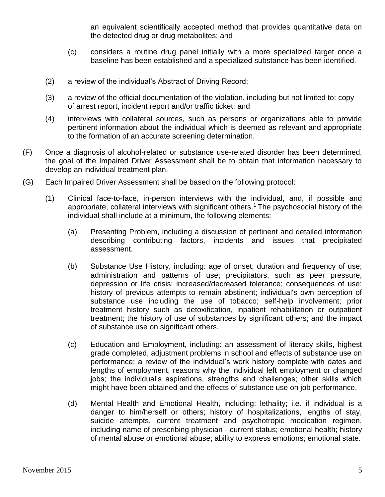an equivalent scientifically accepted method that provides quantitative data on the detected drug or drug metabolites; and

- (c) considers a routine drug panel initially with a more specialized target once a baseline has been established and a specialized substance has been identified.
- (2) a review of the individual's Abstract of Driving Record;
- (3) a review of the official documentation of the violation, including but not limited to: copy of arrest report, incident report and/or traffic ticket; and
- (4) interviews with collateral sources, such as persons or organizations able to provide pertinent information about the individual which is deemed as relevant and appropriate to the formation of an accurate screening determination.
- (F) Once a diagnosis of alcohol-related or substance use-related disorder has been determined, the goal of the Impaired Driver Assessment shall be to obtain that information necessary to develop an individual treatment plan.
- (G) Each Impaired Driver Assessment shall be based on the following protocol:
	- (1) Clinical face-to-face, in-person interviews with the individual, and, if possible and appropriate, collateral interviews with significant others.<sup>1</sup> The psychosocial history of the individual shall include at a minimum, the following elements:
		- (a) Presenting Problem, including a discussion of pertinent and detailed information describing contributing factors, incidents and issues that precipitated assessment.
		- (b) Substance Use History, including: age of onset; duration and frequency of use; administration and patterns of use; precipitators, such as peer pressure, depression or life crisis; increased/decreased tolerance; consequences of use; history of previous attempts to remain abstinent; individual's own perception of substance use including the use of tobacco; self-help involvement; prior treatment history such as detoxification, inpatient rehabilitation or outpatient treatment; the history of use of substances by significant others; and the impact of substance use on significant others.
		- (c) Education and Employment, including: an assessment of literacy skills, highest grade completed, adjustment problems in school and effects of substance use on performance: a review of the individual's work history complete with dates and lengths of employment; reasons why the individual left employment or changed jobs; the individual's aspirations, strengths and challenges; other skills which might have been obtained and the effects of substance use on job performance.
		- (d) Mental Health and Emotional Health, including: lethality; i.e. if individual is a danger to him/herself or others; history of hospitalizations, lengths of stay, suicide attempts, current treatment and psychotropic medication regimen, including name of prescribing physician - current status; emotional health; history of mental abuse or emotional abuse; ability to express emotions; emotional state.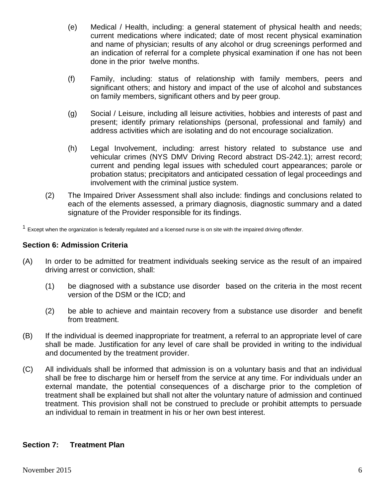- (e) Medical / Health, including: a general statement of physical health and needs; current medications where indicated; date of most recent physical examination and name of physician; results of any alcohol or drug screenings performed and an indication of referral for a complete physical examination if one has not been done in the prior twelve months.
- (f) Family, including: status of relationship with family members, peers and significant others; and history and impact of the use of alcohol and substances on family members, significant others and by peer group.
- (g) Social / Leisure, including all leisure activities, hobbies and interests of past and present; identify primary relationships (personal, professional and family) and address activities which are isolating and do not encourage socialization.
- (h) Legal Involvement, including: arrest history related to substance use and vehicular crimes (NYS DMV Driving Record abstract DS-242.1); arrest record; current and pending legal issues with scheduled court appearances; parole or probation status; precipitators and anticipated cessation of legal proceedings and involvement with the criminal justice system.
- (2) The Impaired Driver Assessment shall also include: findings and conclusions related to each of the elements assessed, a primary diagnosis, diagnostic summary and a dated signature of the Provider responsible for its findings.

 $1$  Except when the organization is federally regulated and a licensed nurse is on site with the impaired driving offender.

# **Section 6: Admission Criteria**

- (A) In order to be admitted for treatment individuals seeking service as the result of an impaired driving arrest or conviction, shall:
	- (1) be diagnosed with a substance use disorder based on the criteria in the most recent version of the DSM or the ICD; and
	- (2) be able to achieve and maintain recovery from a substance use disorder and benefit from treatment.
- (B) If the individual is deemed inappropriate for treatment, a referral to an appropriate level of care shall be made. Justification for any level of care shall be provided in writing to the individual and documented by the treatment provider.
- (C) All individuals shall be informed that admission is on a voluntary basis and that an individual shall be free to discharge him or herself from the service at any time. For individuals under an external mandate, the potential consequences of a discharge prior to the completion of treatment shall be explained but shall not alter the voluntary nature of admission and continued treatment. This provision shall not be construed to preclude or prohibit attempts to persuade an individual to remain in treatment in his or her own best interest.

# **Section 7: Treatment Plan**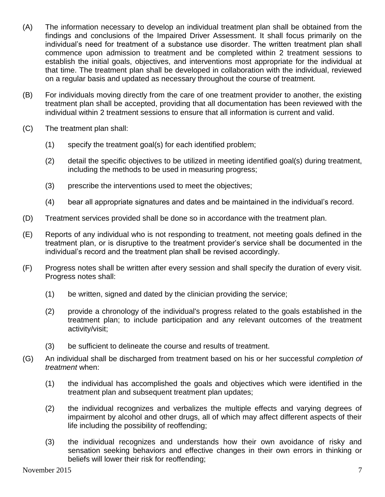- (A) The information necessary to develop an individual treatment plan shall be obtained from the findings and conclusions of the Impaired Driver Assessment. It shall focus primarily on the individual's need for treatment of a substance use disorder. The written treatment plan shall commence upon admission to treatment and be completed within 2 treatment sessions to establish the initial goals, objectives, and interventions most appropriate for the individual at that time. The treatment plan shall be developed in collaboration with the individual, reviewed on a regular basis and updated as necessary throughout the course of treatment.
- (B) For individuals moving directly from the care of one treatment provider to another, the existing treatment plan shall be accepted, providing that all documentation has been reviewed with the individual within 2 treatment sessions to ensure that all information is current and valid.
- (C) The treatment plan shall:
	- (1) specify the treatment goal(s) for each identified problem;
	- (2) detail the specific objectives to be utilized in meeting identified goal(s) during treatment, including the methods to be used in measuring progress;
	- (3) prescribe the interventions used to meet the objectives;
	- (4) bear all appropriate signatures and dates and be maintained in the individual's record.
- (D) Treatment services provided shall be done so in accordance with the treatment plan.
- (E) Reports of any individual who is not responding to treatment, not meeting goals defined in the treatment plan, or is disruptive to the treatment provider's service shall be documented in the individual's record and the treatment plan shall be revised accordingly.
- (F) Progress notes shall be written after every session and shall specify the duration of every visit. Progress notes shall:
	- (1) be written, signed and dated by the clinician providing the service;
	- (2) provide a chronology of the individual's progress related to the goals established in the treatment plan; to include participation and any relevant outcomes of the treatment activity/visit;
	- (3) be sufficient to delineate the course and results of treatment.
- (G) An individual shall be discharged from treatment based on his or her successful *completion of treatment* when:
	- (1) the individual has accomplished the goals and objectives which were identified in the treatment plan and subsequent treatment plan updates;
	- (2) the individual recognizes and verbalizes the multiple effects and varying degrees of impairment by alcohol and other drugs, all of which may affect different aspects of their life including the possibility of reoffending;
	- (3) the individual recognizes and understands how their own avoidance of risky and sensation seeking behaviors and effective changes in their own errors in thinking or beliefs will lower their risk for reoffending;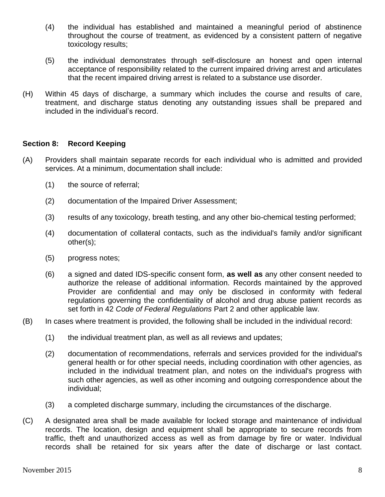- (4) the individual has established and maintained a meaningful period of abstinence throughout the course of treatment, as evidenced by a consistent pattern of negative toxicology results;
- (5) the individual demonstrates through self-disclosure an honest and open internal acceptance of responsibility related to the current impaired driving arrest and articulates that the recent impaired driving arrest is related to a substance use disorder.
- (H) Within 45 days of discharge, a summary which includes the course and results of care, treatment, and discharge status denoting any outstanding issues shall be prepared and included in the individual's record.

# **Section 8: Record Keeping**

- (A) Providers shall maintain separate records for each individual who is admitted and provided services. At a minimum, documentation shall include:
	- (1) the source of referral;
	- (2) documentation of the Impaired Driver Assessment;
	- (3) results of any toxicology, breath testing, and any other bio-chemical testing performed;
	- (4) documentation of collateral contacts, such as the individual's family and/or significant other(s);
	- (5) progress notes;
	- (6) a signed and dated IDS-specific consent form, **as well as** any other consent needed to authorize the release of additional information. Records maintained by the approved Provider are confidential and may only be disclosed in conformity with federal regulations governing the confidentiality of alcohol and drug abuse patient records as set forth in 42 *Code of Federal Regulations* Part 2 and other applicable law.
- (B) In cases where treatment is provided, the following shall be included in the individual record:
	- (1) the individual treatment plan, as well as all reviews and updates;
	- (2) documentation of recommendations, referrals and services provided for the individual's general health or for other special needs, including coordination with other agencies, as included in the individual treatment plan, and notes on the individual's progress with such other agencies, as well as other incoming and outgoing correspondence about the individual;
	- (3) a completed discharge summary, including the circumstances of the discharge.
- (C) A designated area shall be made available for locked storage and maintenance of individual records. The location, design and equipment shall be appropriate to secure records from traffic, theft and unauthorized access as well as from damage by fire or water. Individual records shall be retained for six years after the date of discharge or last contact.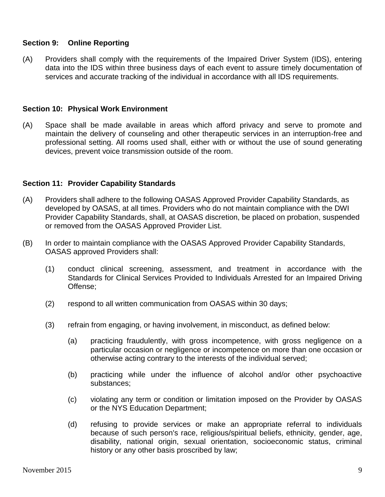# **Section 9: Online Reporting**

(A) Providers shall comply with the requirements of the Impaired Driver System (IDS), entering data into the IDS within three business days of each event to assure timely documentation of services and accurate tracking of the individual in accordance with all IDS requirements.

# **Section 10: Physical Work Environment**

(A) Space shall be made available in areas which afford privacy and serve to promote and maintain the delivery of counseling and other therapeutic services in an interruption-free and professional setting. All rooms used shall, either with or without the use of sound generating devices, prevent voice transmission outside of the room.

# **Section 11: Provider Capability Standards**

- (A) Providers shall adhere to the following OASAS Approved Provider Capability Standards, as developed by OASAS, at all times. Providers who do not maintain compliance with the DWI Provider Capability Standards, shall, at OASAS discretion, be placed on probation, suspended or removed from the OASAS Approved Provider List.
- (B) In order to maintain compliance with the OASAS Approved Provider Capability Standards, OASAS approved Providers shall:
	- (1) conduct clinical screening, assessment, and treatment in accordance with the Standards for Clinical Services Provided to Individuals Arrested for an Impaired Driving Offense;
	- (2) respond to all written communication from OASAS within 30 days;
	- (3) refrain from engaging, or having involvement, in misconduct, as defined below:
		- (a) practicing fraudulently, with gross incompetence, with gross negligence on a particular occasion or negligence or incompetence on more than one occasion or otherwise acting contrary to the interests of the individual served;
		- (b) practicing while under the influence of alcohol and/or other psychoactive substances;
		- (c) violating any term or condition or limitation imposed on the Provider by OASAS or the NYS Education Department;
		- (d) refusing to provide services or make an appropriate referral to individuals because of such person's race, religious/spiritual beliefs, ethnicity, gender, age, disability, national origin, sexual orientation, socioeconomic status, criminal history or any other basis proscribed by law;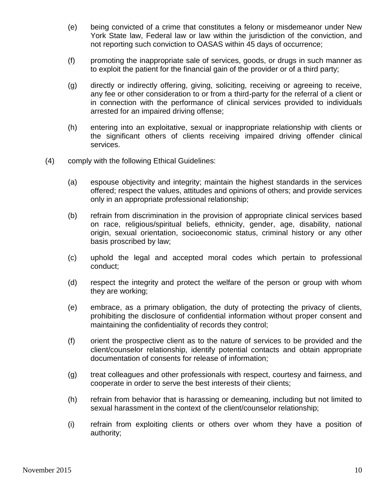- (e) being convicted of a crime that constitutes a felony or misdemeanor under New York State law, Federal law or law within the jurisdiction of the conviction, and not reporting such conviction to OASAS within 45 days of occurrence;
- (f) promoting the inappropriate sale of services, goods, or drugs in such manner as to exploit the patient for the financial gain of the provider or of a third party;
- (g) directly or indirectly offering, giving, soliciting, receiving or agreeing to receive, any fee or other consideration to or from a third-party for the referral of a client or in connection with the performance of clinical services provided to individuals arrested for an impaired driving offense;
- (h) entering into an exploitative, sexual or inappropriate relationship with clients or the significant others of clients receiving impaired driving offender clinical services.
- (4) comply with the following Ethical Guidelines:
	- (a) espouse objectivity and integrity; maintain the highest standards in the services offered; respect the values, attitudes and opinions of others; and provide services only in an appropriate professional relationship;
	- (b) refrain from discrimination in the provision of appropriate clinical services based on race, religious/spiritual beliefs, ethnicity, gender, age, disability, national origin, sexual orientation, socioeconomic status, criminal history or any other basis proscribed by law;
	- (c) uphold the legal and accepted moral codes which pertain to professional conduct;
	- (d) respect the integrity and protect the welfare of the person or group with whom they are working;
	- (e) embrace, as a primary obligation, the duty of protecting the privacy of clients, prohibiting the disclosure of confidential information without proper consent and maintaining the confidentiality of records they control;
	- (f) orient the prospective client as to the nature of services to be provided and the client/counselor relationship, identify potential contacts and obtain appropriate documentation of consents for release of information;
	- (g) treat colleagues and other professionals with respect, courtesy and fairness, and cooperate in order to serve the best interests of their clients;
	- (h) refrain from behavior that is harassing or demeaning, including but not limited to sexual harassment in the context of the client/counselor relationship;
	- (i) refrain from exploiting clients or others over whom they have a position of authority;